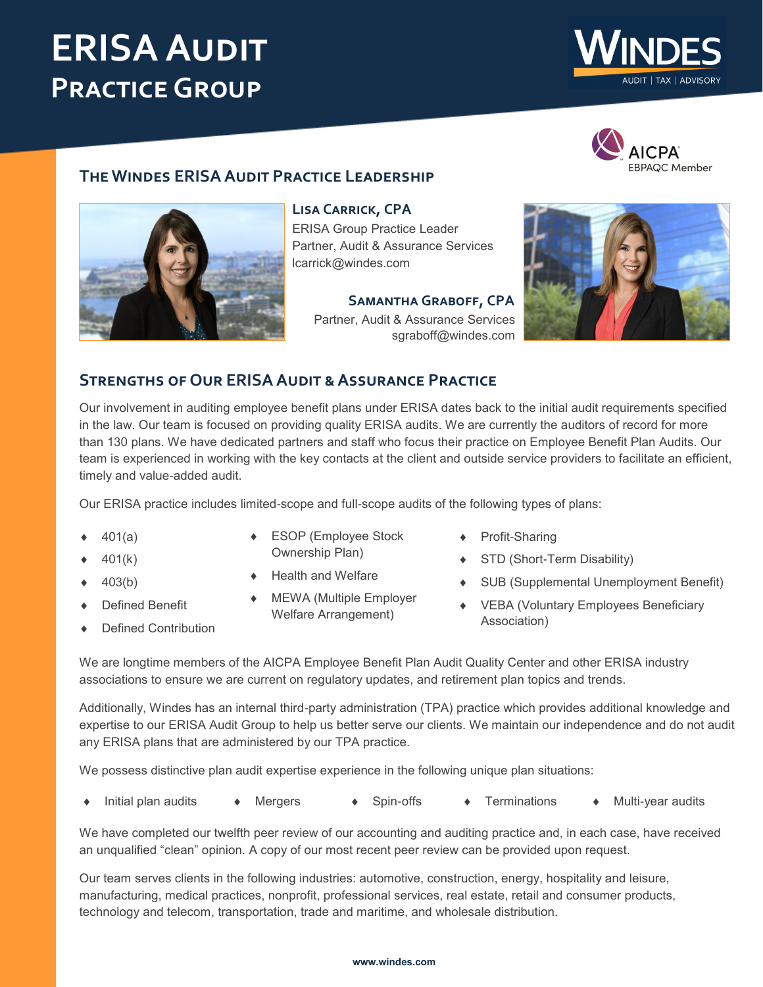# **ERISA Audit Practice Group**





## **The Windes ERISA Audit Practice Leadership**



**Lisa Carrick, CPA** ERISA Group Practice Leader Partner, Audit & Assurance Services [lcarrick@windes.com](mailto:lcarrick@windes.com)

> **Samantha Graboff, CPA** Partner, Audit & Assurance Services [sgraboff@windes.com](mailto:sgraboff@windes.com)



### **Strengths of Our ERISA Audit & Assurance Practice**

Our involvement in auditing employee benefit plans under ERISA dates back to the initial audit requirements specified in the law. Our team is focused on providing quality ERISA audits. We are currently the auditors of record for more than 130 plans. We have dedicated partners and staff who focus their practice on Employee Benefit Plan Audits. Our team is experienced in working with the key contacts at the client and outside service providers to facilitate an efficient, timely and value-added audit.

Our ERISA practice includes limited-scope and full-scope audits of the following types of plans:

- 401(a)
- 401(k)
- 403(b)
- Defined Benefit
- Defined Contribution
- ESOP (Employee Stock Ownership Plan)
- Health and Welfare
- MEWA (Multiple Employer Welfare Arrangement)
- Profit-Sharing
- ◆ STD (Short-Term Disability)
- SUB (Supplemental Unemployment Benefit)
- VEBA (Voluntary Employees Beneficiary Association)

We are longtime members of the AICPA Employee Benefit Plan Audit Quality Center and other ERISA industry associations to ensure we are current on regulatory updates, and retirement plan topics and trends.

Additionally, Windes has an internal third-party administration (TPA) practice which provides additional knowledge and expertise to our ERISA Audit Group to help us better serve our clients. We maintain our independence and do not audit any ERISA plans that are administered by our TPA practice.

We possess distinctive plan audit expertise experience in the following unique plan situations:

• Initial plan audits • Mergers • Spin-offs • Terminations • Multi-year audits

We have completed our twelfth peer review of our accounting and auditing practice and, in each case, have received an unqualified "clean" opinion. A copy of our most recent peer review can be provided upon request.

Our team serves clients in the following industries: automotive, construction, energy, hospitality and leisure, manufacturing, medical practices, nonprofit, professional services, real estate, retail and consumer products, technology and telecom, transportation, trade and maritime, and wholesale distribution.